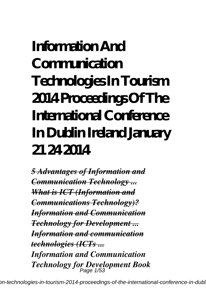# **Information And Communication Technologies In Tourism 2014 Proceedings Of The International Conference In Dublin Ireland January 21 24 2014**

*5 Advantages of Information and Communication Technology ... What is ICT (Information and Communications Technology)? Information and Communication Technology for Development ... Information and communication technologies (ICTs ... Information and Communication Technology for Development Book* Page 1/53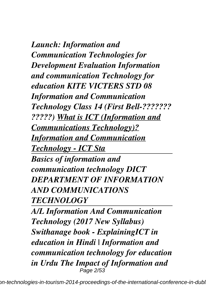*Launch: Information and Communication Technologies for Development Evaluation Information and communication Technology for education KITE VICTERS STD 08 Information and Communication Technology Class 14 (First Bell-??????? ?????) What is ICT (Information and Communications Technology)? Information and Communication Technology - ICT Sta Basics of information and communication technology DICT DEPARTMENT OF INFORMATION*

*AND COMMUNICATIONS TECHNOLOGY* 

*A/L Information And Communication Technology (2017 New Syllabus) Swithanage book - ExplainingICT in education in Hindi | Information and communication technology for education in Urdu The Impact of Information and* Page 2/53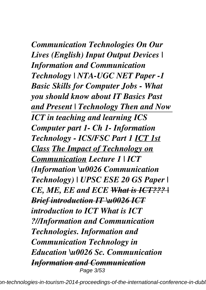*Communication Technologies On Our Lives (English) Input Output Devices | Information and Communication Technology | NTA-UGC NET Paper -1 Basic Skills for Computer Jobs - What you should know about IT Basics Past and Present | Technology Then and Now ICT in teaching and learning ICS Computer part 1- Ch 1- Information Technology - ICS/FSC Part 1 ICT 1st Class The Impact of Technology on Communication Lecture 1 | ICT (Information \u0026 Communication Technology) | UPSC ESE 20 GS Paper | CE, ME, EE and ECE What is ICT??? | Brief introduction IT \u0026 ICT introduction to ICT What is ICT ?//Information and Communication Technologies. Information and Communication Technology in Education \u0026 Sc. Communication Information and Communication* Page 3/53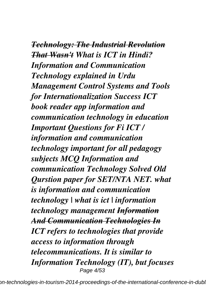*Technology: The Industrial Revolution That Wasn't What is ICT in Hindi? Information and Communication Technology explained in Urdu Management Control Systems and Tools for Internationalization Success ICT book reader app information and communication technology in education Important Questions for Fi ICT / information and communication technology important for all pedagogy subjects MCQ Information and communication Technology Solved Old Qurstion paper for SET/NTA NET. what is information and communication technology | what is ict | information technology management Information And Communication Technologies In ICT refers to technologies that provide access to information through telecommunications. It is similar to Information Technology (IT), but focuses* Page 4/53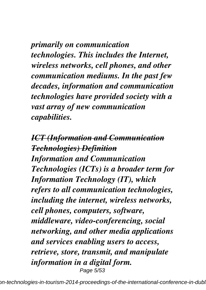*primarily on communication technologies. This includes the Internet, wireless networks, cell phones, and other communication mediums. In the past few decades, information and communication technologies have provided society with a vast array of new communication capabilities.*

*ICT (Information and Communication Technologies) Definition Information and Communication Technologies (ICTs) is a broader term for Information Technology (IT), which refers to all communication technologies, including the internet, wireless networks, cell phones, computers, software, middleware, video-conferencing, social networking, and other media applications and services enabling users to access, retrieve, store, transmit, and manipulate information in a digital form.* Page 5/53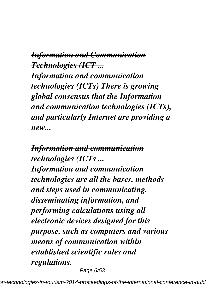*Information and Communication Technologies (ICT ...*

*Information and communication technologies (ICTs) There is growing global consensus that the Information and communication technologies (ICTs), and particularly Internet are providing a new...*

*Information and communication technologies (ICTs ... Information and communication technologies are all the bases, methods and steps used in communicating, disseminating information, and performing calculations using all electronic devices designed for this purpose, such as computers and various means of communication within established scientific rules and regulations.*

Page 6/53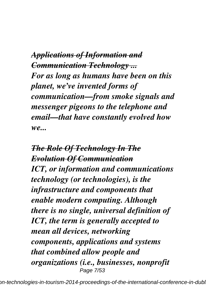*Applications of Information and Communication Technology ... For as long as humans have been on this planet, we've invented forms of communication—from smoke signals and messenger pigeons to the telephone and email—that have constantly evolved how we...*

*The Role Of Technology In The Evolution Of Communication ICT, or information and communications technology (or technologies), is the infrastructure and components that enable modern computing. Although there is no single, universal definition of ICT, the term is generally accepted to mean all devices, networking components, applications and systems that combined allow people and organizations (i.e., businesses, nonprofit* Page 7/53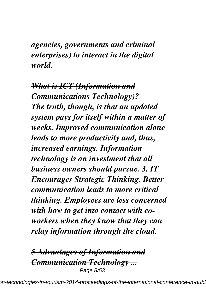*agencies, governments and criminal enterprises) to interact in the digital world.*

*What is ICT (Information and Communications Technology)? The truth, though, is that an updated system pays for itself within a matter of weeks. Improved communication alone leads to more productivity and, thus, increased earnings. Information technology is an investment that all business owners should pursue. 3. IT Encourages Strategic Thinking. Better communication leads to more critical thinking. Employees are less concerned with how to get into contact with coworkers when they know that they can relay information through the cloud.*

*5 Advantages of Information and Communication Technology ...* Page 8/53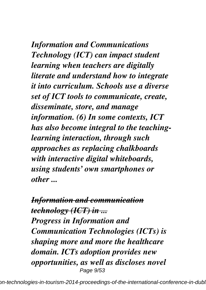*Information and Communications Technology (ICT) can impact student learning when teachers are digitally literate and understand how to integrate it into curriculum. Schools use a diverse set of ICT tools to communicate, create, disseminate, store, and manage information. (6) In some contexts, ICT has also become integral to the teachinglearning interaction, through such approaches as replacing chalkboards with interactive digital whiteboards, using students' own smartphones or other ...*

*Information and communication technology (ICT) in ... Progress in Information and Communication Technologies (ICTs) is shaping more and more the healthcare domain. ICTs adoption provides new opportunities, as well as discloses novel* Page 9/53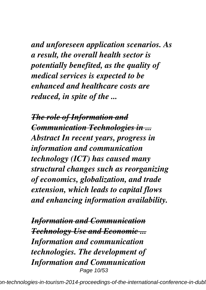*and unforeseen application scenarios. As a result, the overall health sector is potentially benefited, as the quality of medical services is expected to be enhanced and healthcare costs are reduced, in spite of the ...*

*The role of Information and Communication Technologies in ... Abstract In recent years, progress in information and communication technology (ICT) has caused many structural changes such as reorganizing of economics, globalization, and trade extension, which leads to capital flows and enhancing information availability.*

*Information and Communication Technology Use and Economic ... Information and communication technologies. The development of Information and Communication* Page 10/53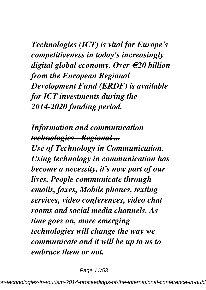*Technologies (ICT) is vital for Europe's competitiveness in today's increasingly digital global economy. Over €20 billion from the European Regional Development Fund (ERDF) is available for ICT investments during the 2014-2020 funding period.*

*Information and communication technologies - Regional ... Use of Technology in Communication. Using technology in communication has become a necessity, it's now part of our lives. People communicate through emails, faxes, Mobile phones, texting services, video conferences, video chat rooms and social media channels. As time goes on, more emerging technologies will change the way we communicate and it will be up to us to embrace them or not.*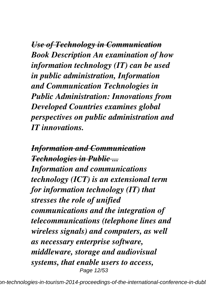*Use of Technology in Communication Book Description An examination of how information technology (IT) can be used in public administration, Information and Communication Technologies in Public Administration: Innovations from Developed Countries examines global perspectives on public administration and IT innovations.*

*Information and Communication Technologies in Public ... Information and communications technology (ICT) is an extensional term for information technology (IT) that stresses the role of unified communications and the integration of telecommunications (telephone lines and wireless signals) and computers, as well as necessary enterprise software, middleware, storage and audiovisual systems, that enable users to access,* Page 12/53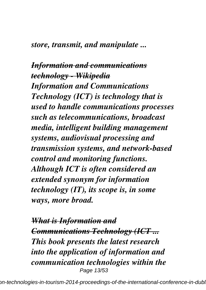#### *store, transmit, and manipulate ...*

#### *Information and communications technology - Wikipedia*

*Information and Communications Technology (ICT) is technology that is used to handle communications processes such as telecommunications, broadcast media, intelligent building management systems, audiovisual processing and transmission systems, and network-based control and monitoring functions. Although ICT is often considered an extended synonym for information technology (IT), its scope is, in some ways, more broad.*

*What is Information and Communications Technology (ICT ... This book presents the latest research into the application of information and communication technologies within the* Page 13/53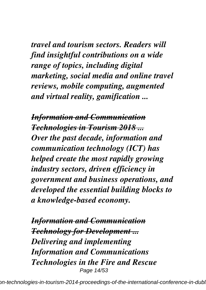*travel and tourism sectors. Readers will find insightful contributions on a wide range of topics, including digital marketing, social media and online travel reviews, mobile computing, augmented and virtual reality, gamification ...*

*Information and Communication Technologies in Tourism 2018 ... Over the past decade, information and communication technology (ICT) has helped create the most rapidly growing industry sectors, driven efficiency in government and business operations, and developed the essential building blocks to a knowledge-based economy.*

*Information and Communication Technology for Development ... Delivering and implementing Information and Communications Technologies in the Fire and Rescue* Page 14/53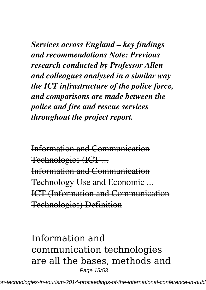*Services across England – key findings and recommendations Note: Previous research conducted by Professor Allen and colleagues analysed in a similar way the ICT infrastructure of the police force, and comparisons are made between the police and fire and rescue services throughout the project report.*

Information and Communication Technologies (ICT ... Information and Communication Technology Use and Economic ... ICT (Information and Communication Technologies) Definition

Information and communication technologies are all the bases, methods and Page 15/53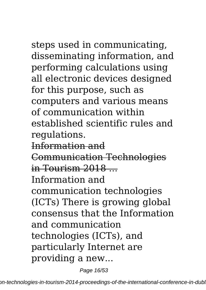steps used in communicating, disseminating information, and performing calculations using all electronic devices designed for this purpose, such as computers and various means of communication within established scientific rules and regulations.

Information and

Communication Technologies

 $in$  Tourism  $2018...$ 

Information and

communication technologies (ICTs) There is growing global consensus that the Information and communication technologies (ICTs), and particularly Internet are providing a new...

Page 16/53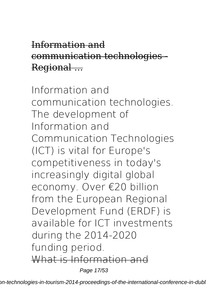### Information and communication technologies - Regional ...

Information and communication technologies. The development of Information and Communication Technologies (ICT) is vital for Europe's competitiveness in today's increasingly digital global economy. Over €20 billion from the European Regional Development Fund (ERDF) is available for ICT investments during the 2014-2020 funding period. What is Information and

Page 17/53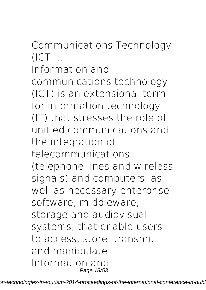# Communications Technology  $HCF$ ...

Information and communications technology (ICT) is an extensional term for information technology (IT) that stresses the role of unified communications and the integration of telecommunications (telephone lines and wireless signals) and computers, as well as necessary enterprise software, middleware, storage and audiovisual systems, that enable users to access, store, transmit, and manipulate ... Information and Page 18/53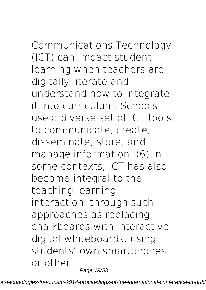Communications Technology

(ICT) can impact student learning when teachers are digitally literate and understand how to integrate it into curriculum. Schools use a diverse set of ICT tools to communicate, create, disseminate, store, and manage information. (6) In some contexts, ICT has also become integral to the teaching-learning interaction, through such approaches as replacing chalkboards with interactive digital whiteboards, using students' own smartphones or other ... Page 19/53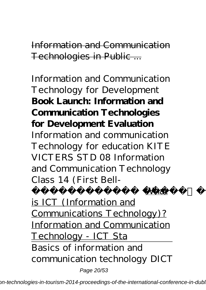Information and Communication Technologies in Public ...

Information and Communication Technology for Development **Book Launch: Information and Communication Technologies for Development Evaluation** *Information and communication Technology for education KITE VICTERS STD 08 Information and Communication Technology Class 14 (First Bell-*

*Mhat* 

is ICT (Information and Communications Technology)? Information and Communication Technology - ICT Sta Basics of information and communication technology DICT

Page 20/53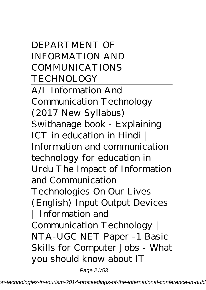DEPARTMENT OF INFORMATION AND COMMUNICATIONS TECHNOLOGY

A/L Information And Communication Technology (2017 New Syllabus) Swithanage book - Explaining *ICT in education in Hindi | Information and communication technology for education in Urdu* The Impact of Information and Communication Technologies On Our Lives (English) *Input Output Devices | Information and Communication Technology | NTA-UGC NET Paper -1 Basic Skills for Computer Jobs - What you should know about IT* Page 21/53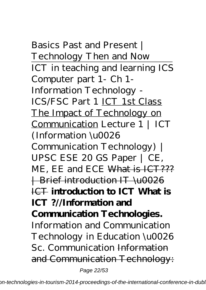*Basics Past and Present | Technology Then and Now* ICT in teaching and learning ICS Computer part 1- Ch 1- Information Technology - ICS/FSC Part 1 ICT 1st Class The Impact of Technology on Communication *Lecture 1 | ICT (Information \u0026 Communication Technology) | UPSC ESE 20 GS Paper | CE, ME, EE and ECE* What is ICT??? | Brief introduction IT \u0026 ICT **introduction to ICT What is ICT ?//Information and Communication Technologies.** Information and Communication Technology in Education \u0026 Sc. Communication Information and Communication Technology:

Page 22/53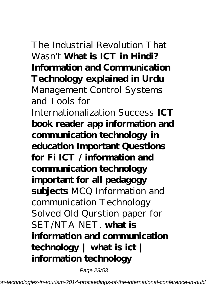# The Industrial Revolution That

Wasn't **What is ICT in Hindi? Information and Communication Technology explained in Urdu** Management Control Systems and Tools for Internationalization Success **ICT book reader app information and communication technology in education Important Questions for Fi ICT / information and communication technology important for all pedagogy subjects** *MCQ Information and communication Technology Solved Old Qurstion paper for SET/NTA NET.* **what is information and communication technology | what is ict | information technology**

Page 23/53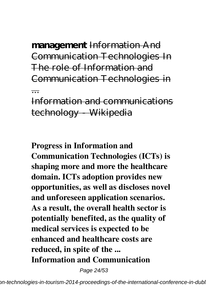**management** Information And Communication Technologies In The role of Information and Communication Technologies in ...

Information and communications technology Wikipedia

**Progress in Information and Communication Technologies (ICTs) is shaping more and more the healthcare domain. ICTs adoption provides new opportunities, as well as discloses novel and unforeseen application scenarios. As a result, the overall health sector is potentially benefited, as the quality of medical services is expected to be enhanced and healthcare costs are reduced, in spite of the ... Information and Communication**

Page 24/53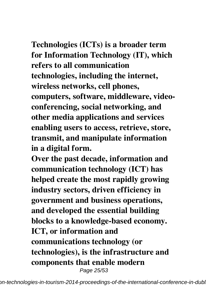# **Technologies (ICTs) is a broader term for Information Technology (IT), which**

**refers to all communication technologies, including the internet, wireless networks, cell phones, computers, software, middleware, videoconferencing, social networking, and other media applications and services enabling users to access, retrieve, store, transmit, and manipulate information in a digital form.**

**Over the past decade, information and communication technology (ICT) has helped create the most rapidly growing industry sectors, driven efficiency in government and business operations, and developed the essential building blocks to a knowledge-based economy. ICT, or information and communications technology (or technologies), is the infrastructure and components that enable modern** Page 25/53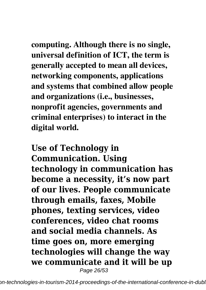**computing. Although there is no single, universal definition of ICT, the term is generally accepted to mean all devices, networking components, applications and systems that combined allow people and organizations (i.e., businesses, nonprofit agencies, governments and criminal enterprises) to interact in the digital world.**

**Use of Technology in Communication. Using technology in communication has become a necessity, it's now part of our lives. People communicate through emails, faxes, Mobile phones, texting services, video conferences, video chat rooms and social media channels. As time goes on, more emerging technologies will change the way we communicate and it will be up** Page 26/53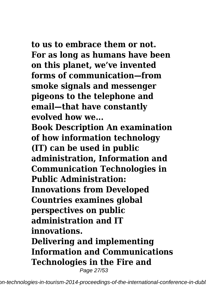**to us to embrace them or not. For as long as humans have been on this planet, we've invented forms of communication—from smoke signals and messenger pigeons to the telephone and email—that have constantly evolved how we...**

**Book Description An examination of how information technology (IT) can be used in public administration, Information and Communication Technologies in Public Administration: Innovations from Developed Countries examines global perspectives on public administration and IT innovations. Delivering and implementing Information and Communications Technologies in the Fire and** Page 27/53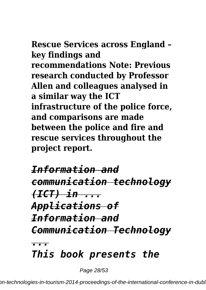#### **Rescue Services across England – key findings and recommendations Note: Previous research conducted by Professor Allen and colleagues analysed in a similar way the ICT infrastructure of the police force, and comparisons are made between the police and fire and rescue services throughout the**

**project report.**

### *Information and communication technology (ICT) in ... Applications of Information and Communication Technology ...*

# *This book presents the*

Page 28/53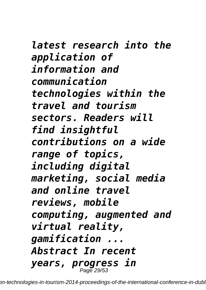*latest research into the application of information and communication technologies within the travel and tourism sectors. Readers will find insightful contributions on a wide range of topics, including digital marketing, social media and online travel reviews, mobile computing, augmented and virtual reality, gamification ... Abstract In recent years, progress in* Page 29/53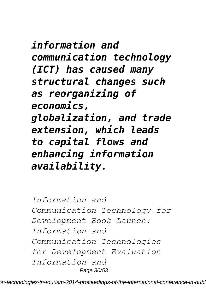## *information and communication technology (ICT) has caused many structural changes such as reorganizing of economics, globalization, and trade extension, which leads to capital flows and enhancing information availability.*

*Information and Communication Technology for Development Book Launch: Information and Communication Technologies for Development Evaluation Information and* Page 30/53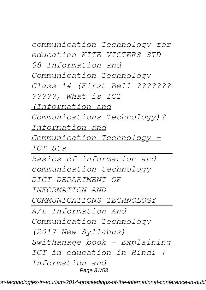*communication Technology for education KITE VICTERS STD 08 Information and Communication Technology Class 14 (First Bell-??????? ?????) What is ICT (Information and Communications Technology)? Information and Communication Technology - ICT Sta Basics of information and communication technology DICT DEPARTMENT OF INFORMATION AND COMMUNICATIONS TECHNOLOGY A/L Information And Communication Technology (2017 New Syllabus) Swithanage book - Explaining ICT in education in Hindi |*

*Information and*

Page 31/53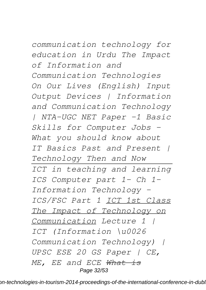*communication technology for education in Urdu The Impact of Information and Communication Technologies On Our Lives (English) Input Output Devices | Information and Communication Technology | NTA-UGC NET Paper -1 Basic Skills for Computer Jobs - What you should know about IT Basics Past and Present | Technology Then and Now ICT in teaching and learning ICS Computer part 1- Ch 1- Information Technology - ICS/FSC Part 1 ICT 1st Class The Impact of Technology on Communication Lecture 1 | ICT (Information \u0026 Communication Technology) | UPSC ESE 20 GS Paper | CE, ME, EE and ECE What is* Page 32/53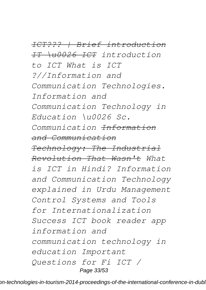*ICT??? | Brief introduction IT \u0026 ICT introduction to ICT What is ICT ?//Information and Communication Technologies. Information and Communication Technology in Education \u0026 Sc. Communication Information and Communication Technology: The Industrial Revolution That Wasn't What is ICT in Hindi? Information and Communication Technology explained in Urdu Management Control Systems and Tools for Internationalization Success ICT book reader app information and communication technology in education Important Questions for Fi ICT /* Page 33/53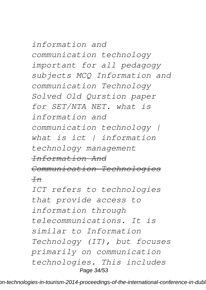*information and communication technology important for all pedagogy subjects MCQ Information and communication Technology Solved Old Qurstion paper for SET/NTA NET. what is information and communication technology | what is ict | information technology management Information And Communication Technologies In ICT refers to technologies that provide access to information through telecommunications. It is similar to Information Technology (IT), but focuses primarily on communication technologies. This includes*

Page 34/53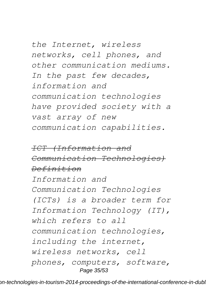*the Internet, wireless networks, cell phones, and other communication mediums. In the past few decades, information and communication technologies have provided society with a vast array of new communication capabilities.*

*ICT (Information and Communication Technologies) Definition Information and Communication Technologies (ICTs) is a broader term for Information Technology (IT), which refers to all communication technologies, including the internet, wireless networks, cell phones, computers, software,* Page 35/53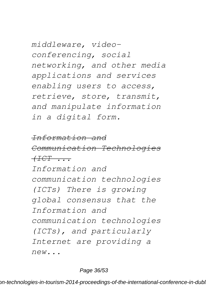*middleware, videoconferencing, social networking, and other media applications and services enabling users to access, retrieve, store, transmit, and manipulate information in a digital form.*

*Information and Communication Technologies (ICT ... Information and communication technologies (ICTs) There is growing global consensus that the Information and communication technologies (ICTs), and particularly Internet are providing a new...*

#### Page 36/53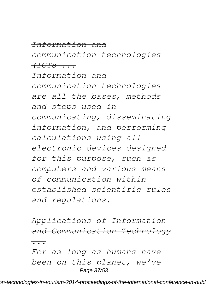# *Information and*

*communication technologies*

*(ICTs ...*

*Information and communication technologies are all the bases, methods and steps used in communicating, disseminating information, and performing calculations using all electronic devices designed for this purpose, such as computers and various means of communication within established scientific rules and regulations.*

*Applications of Information and Communication Technology ... For as long as humans have been on this planet, we've* Page 37/53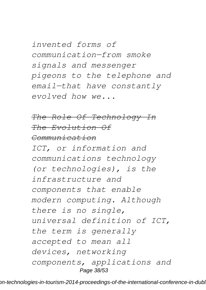*invented forms of communication—from smoke signals and messenger pigeons to the telephone and email—that have constantly evolved how we...*

#### *The Role Of Technology In The Evolution Of Communication*

*ICT, or information and communications technology (or technologies), is the infrastructure and components that enable modern computing. Although there is no single, universal definition of ICT, the term is generally accepted to mean all devices, networking components, applications and* Page 38/53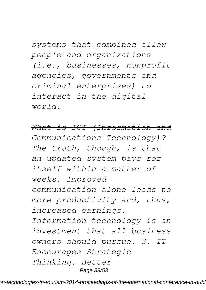*systems that combined allow people and organizations (i.e., businesses, nonprofit agencies, governments and criminal enterprises) to interact in the digital world.*

*What is ICT (Information and Communications Technology)? The truth, though, is that an updated system pays for itself within a matter of weeks. Improved communication alone leads to more productivity and, thus, increased earnings. Information technology is an investment that all business owners should pursue. 3. IT Encourages Strategic Thinking. Better* Page 39/53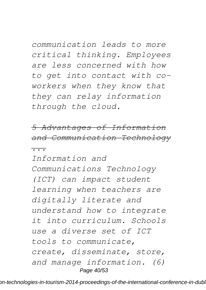*communication leads to more critical thinking. Employees are less concerned with how to get into contact with coworkers when they know that they can relay information through the cloud.*

*5 Advantages of Information and Communication Technology ...*

*Information and Communications Technology (ICT) can impact student learning when teachers are digitally literate and understand how to integrate it into curriculum. Schools use a diverse set of ICT tools to communicate, create, disseminate, store, and manage information. (6)* Page 40/53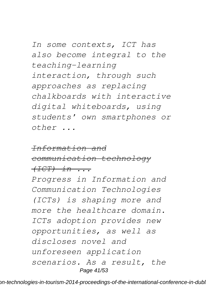*In some contexts, ICT has also become integral to the teaching-learning interaction, through such approaches as replacing chalkboards with interactive digital whiteboards, using students' own smartphones or other ...*

#### *Information and*

*communication technology (ICT) in ...*

*Progress in Information and Communication Technologies (ICTs) is shaping more and more the healthcare domain. ICTs adoption provides new opportunities, as well as discloses novel and unforeseen application scenarios. As a result, the* Page 41/53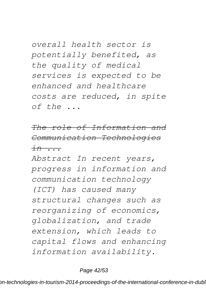*overall health sector is potentially benefited, as the quality of medical services is expected to be enhanced and healthcare costs are reduced, in spite of the ...*

*The role of Information and Communication Technologies in ...*

*Abstract In recent years, progress in information and communication technology (ICT) has caused many structural changes such as reorganizing of economics, globalization, and trade extension, which leads to capital flows and enhancing information availability.*

Page 42/53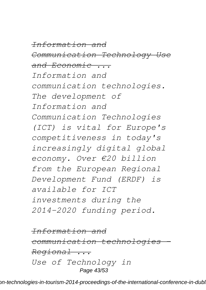*Information and*

*Communication Technology Use and Economic ...*

*Information and communication technologies. The development of Information and Communication Technologies (ICT) is vital for Europe's competitiveness in today's increasingly digital global economy. Over €20 billion from the European Regional Development Fund (ERDF) is available for ICT investments during the 2014-2020 funding period.*

*Information and communication technologies - Regional ... Use of Technology in* Page 43/53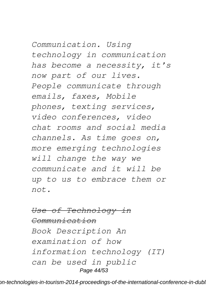*Communication. Using technology in communication has become a necessity, it's now part of our lives. People communicate through emails, faxes, Mobile phones, texting services, video conferences, video chat rooms and social media channels. As time goes on, more emerging technologies will change the way we communicate and it will be up to us to embrace them or not.*

#### *Use of Technology in*

*Communication Book Description An examination of how information technology (IT) can be used in public* Page 44/53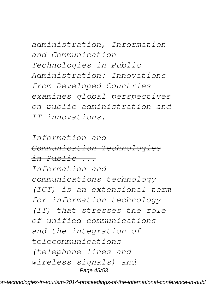*administration, Information and Communication Technologies in Public Administration: Innovations from Developed Countries examines global perspectives on public administration and IT innovations.*

*Information and Communication Technologies in Public ... Information and communications technology (ICT) is an extensional term for information technology (IT) that stresses the role of unified communications and the integration of telecommunications (telephone lines and wireless signals) and* Page 45/53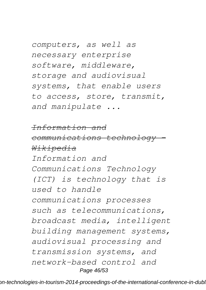*computers, as well as necessary enterprise software, middleware, storage and audiovisual systems, that enable users to access, store, transmit, and manipulate ...*

*Information and*

*communications technology - Wikipedia*

*Information and Communications Technology (ICT) is technology that is used to handle communications processes such as telecommunications, broadcast media, intelligent building management systems, audiovisual processing and transmission systems, and network-based control and* Page 46/53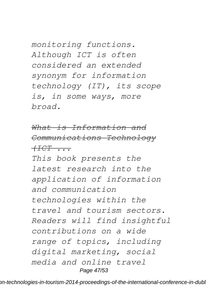*monitoring functions. Although ICT is often considered an extended synonym for information technology (IT), its scope is, in some ways, more broad.*

*What is Information and Communications Technology (ICT ...*

*This book presents the latest research into the application of information and communication technologies within the travel and tourism sectors. Readers will find insightful contributions on a wide range of topics, including digital marketing, social media and online travel* Page 47/53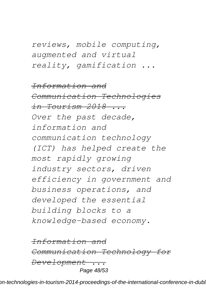*reviews, mobile computing, augmented and virtual reality, gamification ...*

*Information and Communication Technologies in Tourism 2018 ... Over the past decade, information and communication technology (ICT) has helped create the most rapidly growing industry sectors, driven efficiency in government and business operations, and developed the essential building blocks to a knowledge-based economy.*

*Information and Communication Technology for Development ...* Page 48/53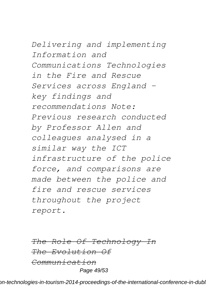*Delivering and implementing Information and Communications Technologies in the Fire and Rescue Services across England – key findings and recommendations Note: Previous research conducted by Professor Allen and colleagues analysed in a similar way the ICT infrastructure of the police force, and comparisons are made between the police and fire and rescue services throughout the project report.*

*The Role Of Technology In The Evolution Of Communication* Page 49/53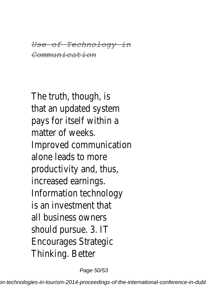*Use of Technology in Communication*

The truth, though, is that an updated system pays for itself within a matter of weeks. Improved communication alone leads to more productivity and, thus, increased earnings. Information technology is an investment that all business owners should pursue. 3. IT Encourages Strategic Thinking. Better

Page 50/53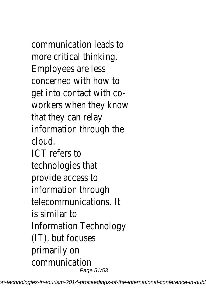communication leads to more critical thinking. Employees are less concerned with how to get into contact with coworkers when they know that they can relay information through the cloud. ICT refers to technologies that

provide access to information through telecommunications. It is similar to Information Technology (IT), but focuses primarily on communication Page 51/53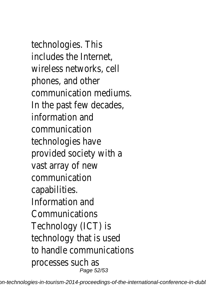technologies. This includes the Internet, wireless networks, cell phones, and other communication mediums. In the past few decades, information and communication technologies have provided society with a vast array of new communication capabilities. Information and Communications Technology (ICT) is technology that is used to handle communications processes such as Page 52/53